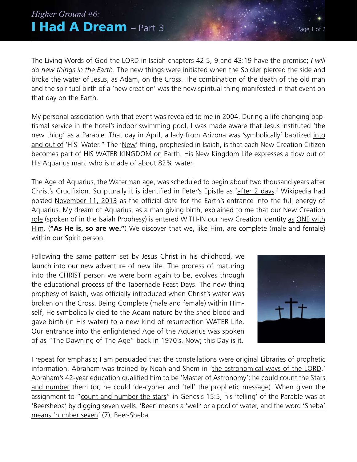## **I Had A Dream** – Part 3 *Higher Ground #6:*

The Living Words of God the LORD in Isaiah chapters 42:5, 9 and 43:19 have the promise; *I will do new things in the Earth*. The new things were initiated when the Soldier pierced the side and broke the water of Jesus, as Adam, on the Cross. The combination of the death of the old man and the spiritual birth of a 'new creation' was the new spiritual thing manifested in that event on that day on the Earth.

My personal association with that event was revealed to me in 2004. During a life changing baptismal service in the hotel's indoor swimming pool, I was made aware that Jesus instituted 'the new thing' as a Parable. That day in April, a lady from Arizona was 'symbolically' baptized into and out of 'HIS Water." The 'New' thing, prophesied in Isaiah, is that each New Creation Citizen becomes part of HIS WATER KINGDOM on Earth. His New Kingdom Life expresses a flow out of His Aquarius man, who is made of about 82% water.

The Age of Aquarius, the Waterman age, was scheduled to begin about two thousand years after Christ's Crucifixion. Scripturally it is identified in Peter's Epistle as 'after 2 days.' Wikipedia had posted November 11, 2013 as the official date for the Earth's entrance into the full energy of Aquarius. My dream of Aquarius, as a man giving birth, explained to me that our New Creation role (spoken of in the Isaiah Prophesy) is entered WITH-IN our new Creation identity as ONE with Him. (**"As He is, so are we."**) We discover that we, like Him, are complete (male and female) within our Spirit person.

Following the same pattern set by Jesus Christ in his childhood, we launch into our new adventure of new life. The process of maturing into the CHRIST person we were born again to be, evolves through the educational process of the Tabernacle Feast Days. The new thing prophesy of Isaiah, was officially introduced when Christ's water was broken on the Cross. Being Complete (male and female) within Himself, He symbolically died to the Adam nature by the shed blood and gave birth (in His water) to a new kind of resurrection WATER Life. Our entrance into the enlightened Age of the Aquarius was spoken of as "The Dawning of The Age" back in 1970's. Now; this Day is it.



I repeat for emphasis; I am persuaded that the constellations were original Libraries of prophetic information. Abraham was trained by Noah and Shem in 'the astronomical ways of the LORD.' Abraham's 42-year education qualified him to be 'Master of Astronomy'; he could count the Stars and number them (or, he could 'de-cypher and 'tell' the prophetic message). When given the assignment to "count and number the stars" in Genesis 15:5, his 'telling' of the Parable was at 'Beersheba' by digging seven wells. 'Beer' means a 'well' or a pool of water, and the word 'Sheba' means 'number seven' (7); Beer-Sheba.